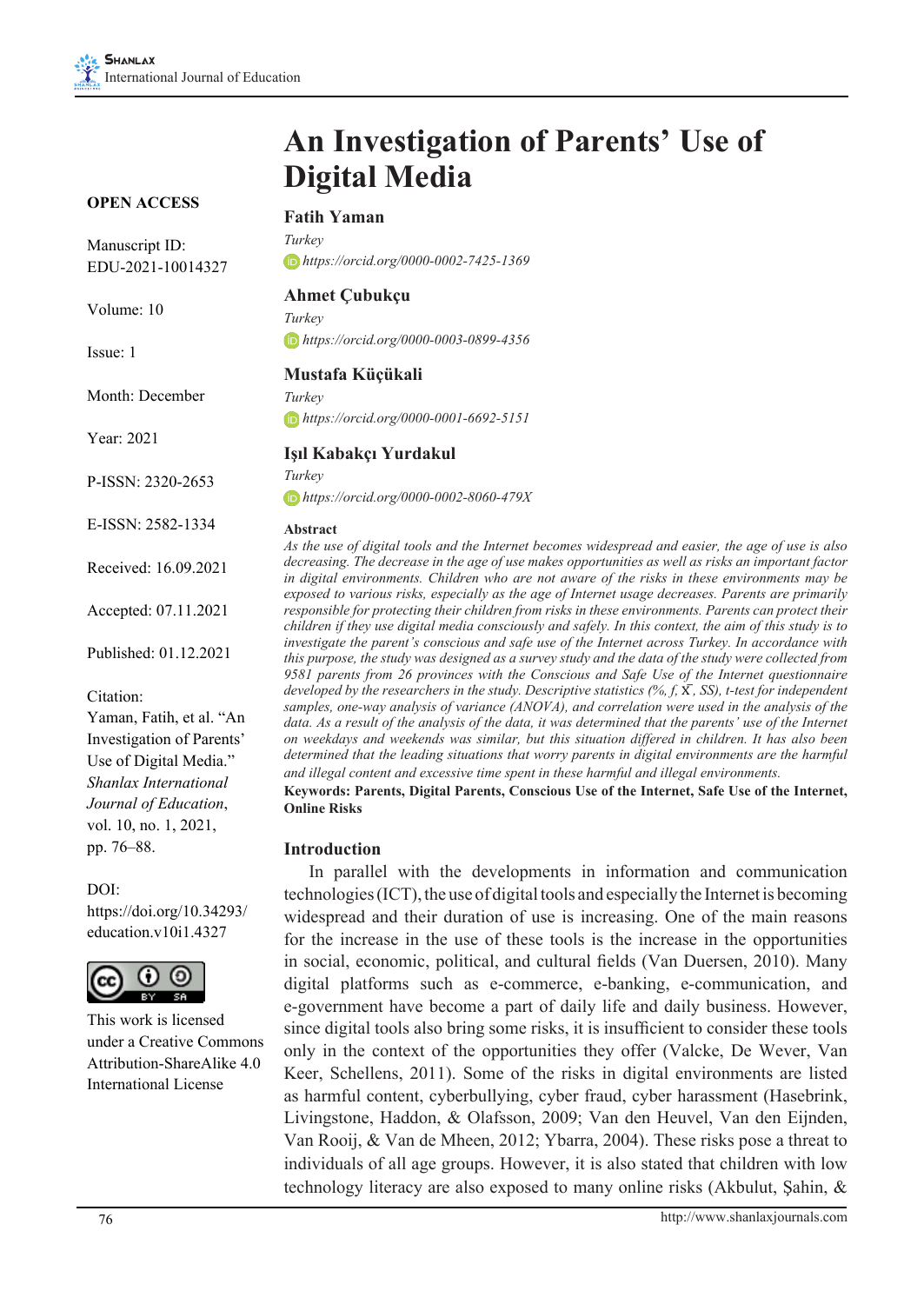# **An Investigation of Parents' Use of Digital Media**

#### **OPEN ACCESS**

# **Fatih Yaman**

Manuscript ID: EDU-2021-10014327

Volume: 10

Issue: 1

Month: December

Year: 2021

P-ISSN: 2320-2653

E-ISSN: 2582-1334

Received: 16.09.2021

Accepted: 07.11.2021

Published: 01.12.2021

Citation:

Yaman, Fatih, et al. "An Investigation of Parents' Use of Digital Media." *Shanlax International Journal of Education*, vol. 10, no. 1, 2021, pp. 76–88.

#### DOI:

https://doi.org/10.34293/ education.v10i1.4327



This work is licensed under a Creative Commons Attribution-ShareAlike 4.0 International License

*Turkey https://orcid.org/0000-0002-7425-1369*

#### **Ahmet Çubukçu**

*Turkey https://orcid.org/0000-0003-0899-4356*

#### **Mustafa Küçükali**

*Turkey https://orcid.org/0000-0001-6692-5151*

## **Işıl Kabakçı Yurdakul**

*Turkey https://orcid.org/0000-0002-8060-479X*

#### **Abstract**

*As the use of digital tools and the Internet becomes widespread and easier, the age of use is also decreasing. The decrease in the age of use makes opportunities as well as risks an important factor in digital environments. Children who are not aware of the risks in these environments may be exposed to various risks, especially as the age of Internet usage decreases. Parents are primarily responsible for protecting their children from risks in these environments. Parents can protect their children if they use digital media consciously and safely. In this context, the aim of this study is to investigate the parent's conscious and safe use of the Internet across Turkey. In accordance with this purpose, the study was designed as a survey study and the data of the study were collected from 9581 parents from 26 provinces with the Conscious and Safe Use of the Internet questionnaire developed by the researchers in the study. Descriptive statistics (%, f,* X ̅*, SS), t-test for independent samples, one-way analysis of variance (ANOVA), and correlation were used in the analysis of the*  data. As a result of the analysis of the data, it was determined that the parents' use of the Internet *on weekdays and weekends was similar, but this situation differed in children. It has also been determined that the leading situations that worry parents in digital environments are the harmful and illegal content and excessive time spent in these harmful and illegal environments.* **Keywords: Parents, Digital Parents, Conscious Use of the Internet, Safe Use of the Internet, Online Risks**

#### **Introduction**

In parallel with the developments in information and communication technologies (ICT), the use of digital tools and especially the Internet is becoming widespread and their duration of use is increasing. One of the main reasons for the increase in the use of these tools is the increase in the opportunities in social, economic, political, and cultural fields (Van Duersen, 2010). Many digital platforms such as e-commerce, e-banking, e-communication, and e-government have become a part of daily life and daily business. However, since digital tools also bring some risks, it is insufficient to consider these tools only in the context of the opportunities they offer (Valcke, De Wever, Van Keer, Schellens, 2011). Some of the risks in digital environments are listed as harmful content, cyberbullying, cyber fraud, cyber harassment (Hasebrink, Livingstone, Haddon, & Olafsson, 2009; Van den Heuvel, Van den Eijnden, Van Rooij, & Van de Mheen, 2012; Ybarra, 2004). These risks pose a threat to individuals of all age groups. However, it is also stated that children with low technology literacy are also exposed to many online risks (Akbulut, Şahin, &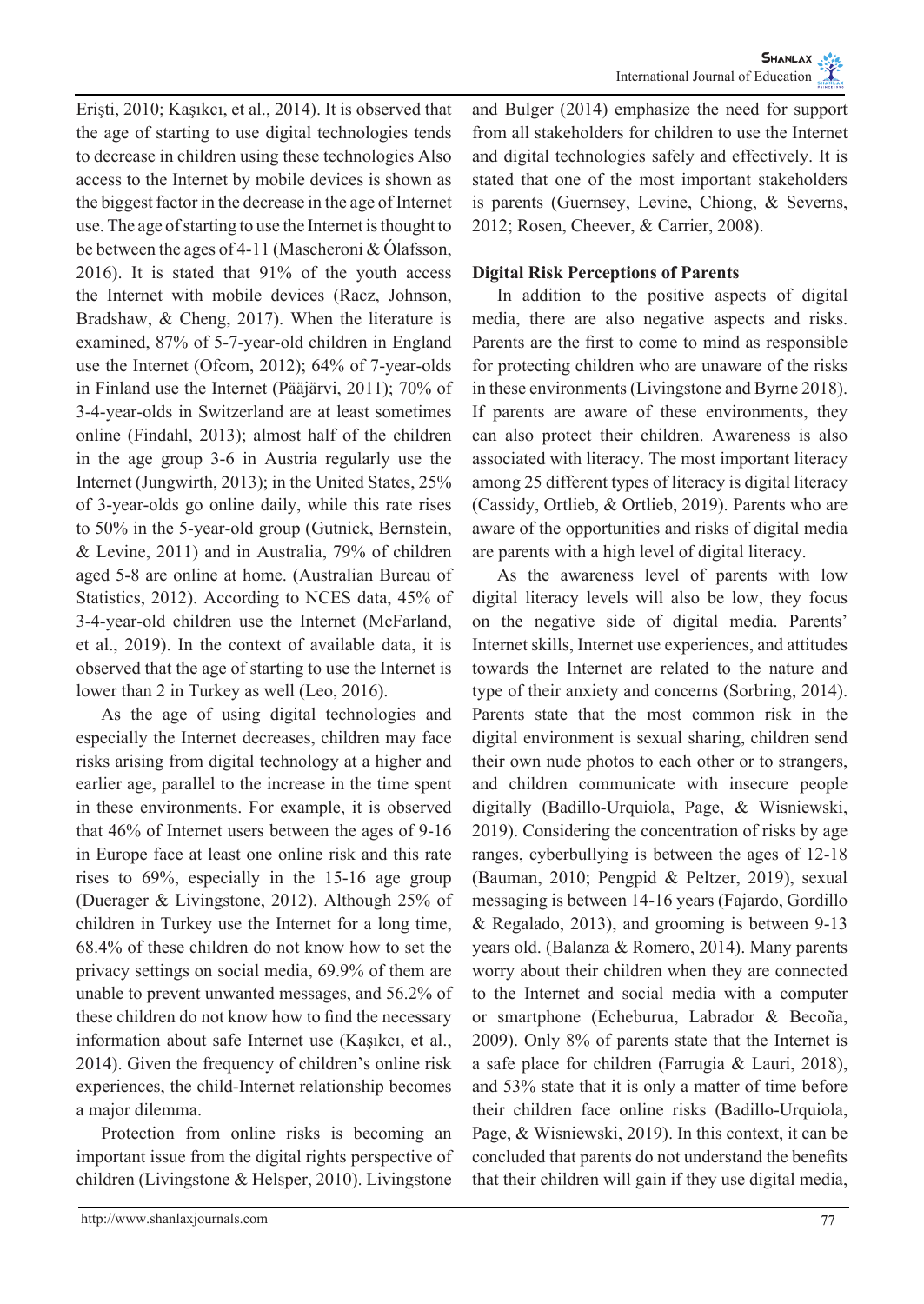Erişti, 2010; Kaşıkcı, et al., 2014). It is observed that the age of starting to use digital technologies tends to decrease in children using these technologies Also access to the Internet by mobile devices is shown as the biggest factor in the decrease in the age of Internet use. The age of starting to use the Internet is thought to be between the ages of 4-11 (Mascheroni & Ólafsson, 2016). It is stated that 91% of the youth access the Internet with mobile devices (Racz, Johnson, Bradshaw, & Cheng, 2017). When the literature is examined, 87% of 5-7-year-old children in England use the Internet (Ofcom, 2012); 64% of 7-year-olds in Finland use the Internet (Pääjärvi, 2011); 70% of 3-4-year-olds in Switzerland are at least sometimes online (Findahl, 2013); almost half of the children in the age group 3-6 in Austria regularly use the Internet (Jungwirth, 2013); in the United States, 25% of 3-year-olds go online daily, while this rate rises to 50% in the 5-year-old group (Gutnick, Bernstein, & Levine, 2011) and in Australia, 79% of children aged 5-8 are online at home. (Australian Bureau of Statistics, 2012). According to NCES data, 45% of 3-4-year-old children use the Internet (McFarland, et al., 2019). In the context of available data, it is observed that the age of starting to use the Internet is lower than 2 in Turkey as well (Leo, 2016).

As the age of using digital technologies and especially the Internet decreases, children may face risks arising from digital technology at a higher and earlier age, parallel to the increase in the time spent in these environments. For example, it is observed that 46% of Internet users between the ages of 9-16 in Europe face at least one online risk and this rate rises to 69%, especially in the 15-16 age group (Duerager & Livingstone, 2012). Although 25% of children in Turkey use the Internet for a long time, 68.4% of these children do not know how to set the privacy settings on social media, 69.9% of them are unable to prevent unwanted messages, and 56.2% of these children do not know how to find the necessary information about safe Internet use (Kaşıkcı, et al., 2014). Given the frequency of children's online risk experiences, the child-Internet relationship becomes a major dilemma.

Protection from online risks is becoming an important issue from the digital rights perspective of children (Livingstone & Helsper, 2010). Livingstone

and Bulger (2014) emphasize the need for support from all stakeholders for children to use the Internet and digital technologies safely and effectively. It is stated that one of the most important stakeholders is parents (Guernsey, Levine, Chiong, & Severns, 2012; Rosen, Cheever, & Carrier, 2008).

## **Digital Risk Perceptions of Parents**

In addition to the positive aspects of digital media, there are also negative aspects and risks. Parents are the first to come to mind as responsible for protecting children who are unaware of the risks in these environments (Livingstone and Byrne 2018). If parents are aware of these environments, they can also protect their children. Awareness is also associated with literacy. The most important literacy among 25 different types of literacy is digital literacy (Cassidy, Ortlieb, & Ortlieb, 2019). Parents who are aware of the opportunities and risks of digital media are parents with a high level of digital literacy.

As the awareness level of parents with low digital literacy levels will also be low, they focus on the negative side of digital media. Parents' Internet skills, Internet use experiences, and attitudes towards the Internet are related to the nature and type of their anxiety and concerns (Sorbring, 2014). Parents state that the most common risk in the digital environment is sexual sharing, children send their own nude photos to each other or to strangers, and children communicate with insecure people digitally (Badillo-Urquiola, Page, & Wisniewski, 2019). Considering the concentration of risks by age ranges, cyberbullying is between the ages of 12-18 (Bauman, 2010; Pengpid & Peltzer, 2019), sexual messaging is between 14-16 years (Fajardo, Gordillo & Regalado, 2013), and grooming is between 9-13 years old. (Balanza & Romero, 2014). Many parents worry about their children when they are connected to the Internet and social media with a computer or smartphone (Echeburua, Labrador & Becoña, 2009). Only 8% of parents state that the Internet is a safe place for children (Farrugia & Lauri, 2018), and 53% state that it is only a matter of time before their children face online risks (Badillo-Urquiola, Page, & Wisniewski, 2019). In this context, it can be concluded that parents do not understand the benefits that their children will gain if they use digital media,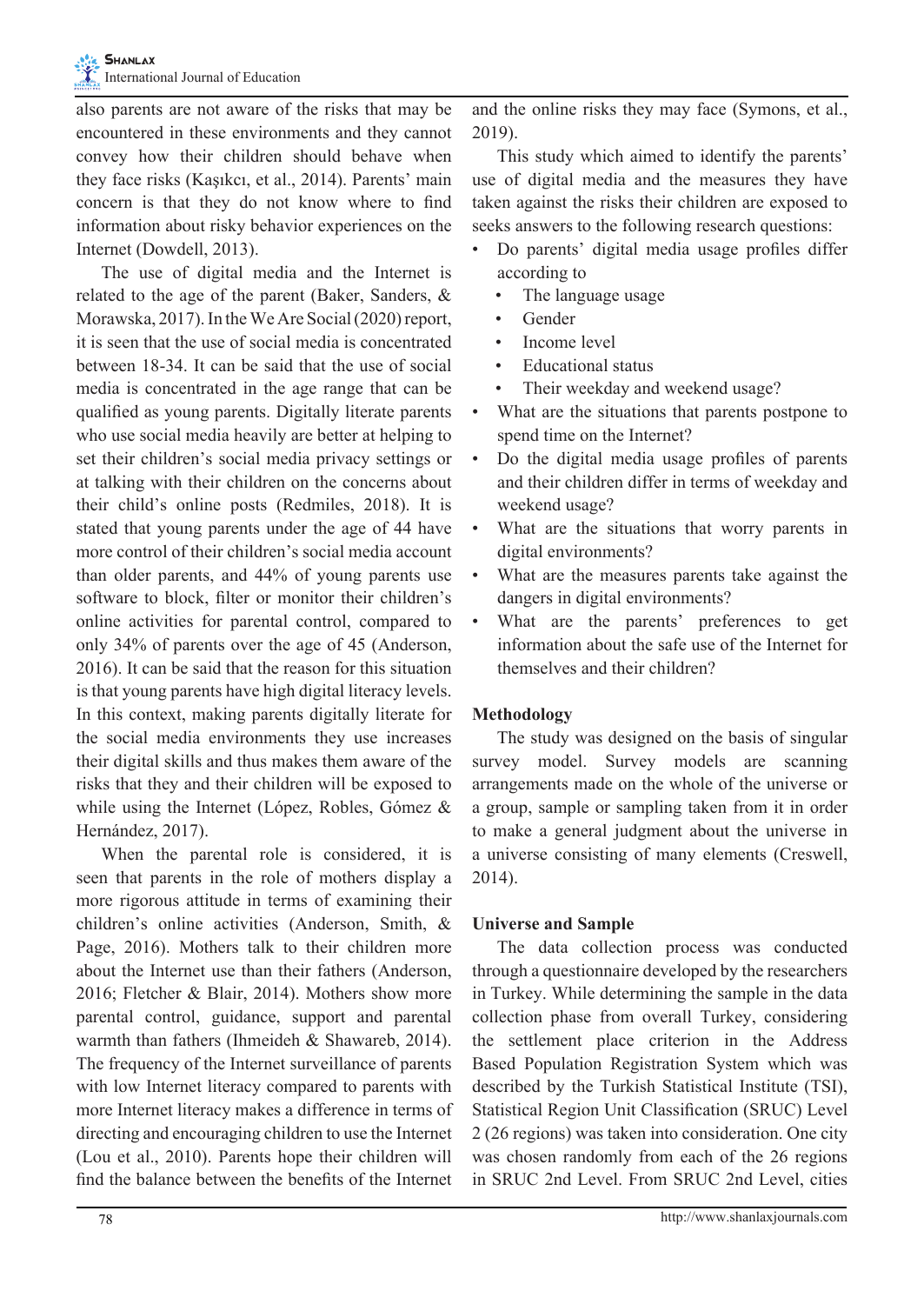also parents are not aware of the risks that may be encountered in these environments and they cannot convey how their children should behave when they face risks (Kaşıkcı, et al., 2014). Parents' main concern is that they do not know where to find information about risky behavior experiences on the Internet (Dowdell, 2013).

The use of digital media and the Internet is related to the age of the parent (Baker, Sanders, & Morawska, 2017). In the We Are Social (2020) report, it is seen that the use of social media is concentrated between 18-34. It can be said that the use of social media is concentrated in the age range that can be qualified as young parents. Digitally literate parents who use social media heavily are better at helping to set their children's social media privacy settings or at talking with their children on the concerns about their child's online posts (Redmiles, 2018). It is stated that young parents under the age of 44 have more control of their children's social media account than older parents, and 44% of young parents use software to block, filter or monitor their children's online activities for parental control, compared to only 34% of parents over the age of 45 (Anderson, 2016). It can be said that the reason for this situation is that young parents have high digital literacy levels. In this context, making parents digitally literate for the social media environments they use increases their digital skills and thus makes them aware of the risks that they and their children will be exposed to while using the Internet (López, Robles, Gómez & Hernández, 2017).

When the parental role is considered, it is seen that parents in the role of mothers display a more rigorous attitude in terms of examining their children's online activities (Anderson, Smith, & Page, 2016). Mothers talk to their children more about the Internet use than their fathers (Anderson, 2016; Fletcher & Blair, 2014). Mothers show more parental control, guidance, support and parental warmth than fathers (Ihmeideh & Shawareb, 2014). The frequency of the Internet surveillance of parents with low Internet literacy compared to parents with more Internet literacy makes a difference in terms of directing and encouraging children to use the Internet (Lou et al., 2010). Parents hope their children will find the balance between the benefits of the Internet

and the online risks they may face (Symons, et al., 2019).

This study which aimed to identify the parents' use of digital media and the measures they have taken against the risks their children are exposed to seeks answers to the following research questions:

- Do parents' digital media usage profiles differ according to
	- The language usage
	- **Gender**
	- Income level
	- Educational status
	- Their weekday and weekend usage?
- What are the situations that parents postpone to spend time on the Internet?
- Do the digital media usage profiles of parents and their children differ in terms of weekday and weekend usage?
- What are the situations that worry parents in digital environments?
- What are the measures parents take against the dangers in digital environments?
- What are the parents' preferences to get information about the safe use of the Internet for themselves and their children?

# **Methodology**

The study was designed on the basis of singular survey model. Survey models are scanning arrangements made on the whole of the universe or a group, sample or sampling taken from it in order to make a general judgment about the universe in a universe consisting of many elements (Creswell, 2014).

# **Universe and Sample**

The data collection process was conducted through a questionnaire developed by the researchers in Turkey. While determining the sample in the data collection phase from overall Turkey, considering the settlement place criterion in the Address Based Population Registration System which was described by the Turkish Statistical Institute (TSI), Statistical Region Unit Classification (SRUC) Level 2 (26 regions) was taken into consideration. One city was chosen randomly from each of the 26 regions in SRUC 2nd Level. From SRUC 2nd Level, cities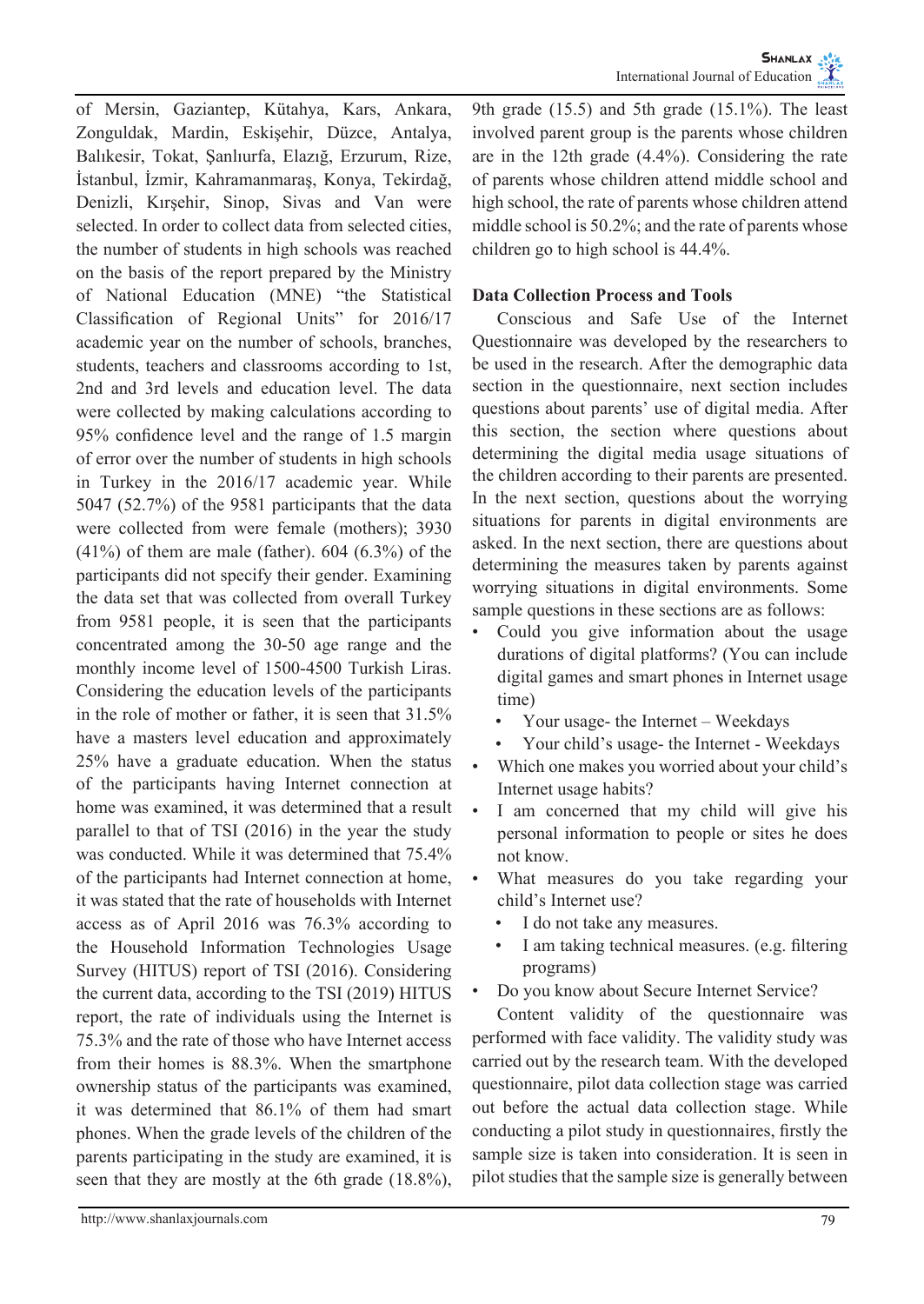of Mersin, Gaziantep, Kütahya, Kars, Ankara, Zonguldak, Mardin, Eskişehir, Düzce, Antalya, Balıkesir, Tokat, Şanlıurfa, Elazığ, Erzurum, Rize, İstanbul, İzmir, Kahramanmaraş, Konya, Tekirdağ, Denizli, Kırşehir, Sinop, Sivas and Van were selected. In order to collect data from selected cities, the number of students in high schools was reached on the basis of the report prepared by the Ministry of National Education (MNE) "the Statistical Classification of Regional Units" for 2016/17 academic year on the number of schools, branches, students, teachers and classrooms according to 1st, 2nd and 3rd levels and education level. The data were collected by making calculations according to 95% confidence level and the range of 1.5 margin of error over the number of students in high schools in Turkey in the 2016/17 academic year. While 5047 (52.7%) of the 9581 participants that the data were collected from were female (mothers); 3930 (41%) of them are male (father). 604 (6.3%) of the participants did not specify their gender. Examining the data set that was collected from overall Turkey from 9581 people, it is seen that the participants concentrated among the 30-50 age range and the monthly income level of 1500-4500 Turkish Liras. Considering the education levels of the participants in the role of mother or father, it is seen that 31.5% have a masters level education and approximately 25% have a graduate education. When the status of the participants having Internet connection at home was examined, it was determined that a result parallel to that of TSI (2016) in the year the study was conducted. While it was determined that 75.4% of the participants had Internet connection at home, it was stated that the rate of households with Internet access as of April 2016 was 76.3% according to the Household Information Technologies Usage Survey (HITUS) report of TSI (2016). Considering the current data, according to the TSI (2019) HITUS report, the rate of individuals using the Internet is 75.3% and the rate of those who have Internet access from their homes is 88.3%. When the smartphone ownership status of the participants was examined, it was determined that 86.1% of them had smart phones. When the grade levels of the children of the parents participating in the study are examined, it is seen that they are mostly at the 6th grade (18.8%),

9th grade (15.5) and 5th grade (15.1%). The least involved parent group is the parents whose children are in the 12th grade (4.4%). Considering the rate of parents whose children attend middle school and high school, the rate of parents whose children attend middle school is 50.2%; and the rate of parents whose children go to high school is 44.4%.

## **Data Collection Process and Tools**

Conscious and Safe Use of the Internet Questionnaire was developed by the researchers to be used in the research. After the demographic data section in the questionnaire, next section includes questions about parents' use of digital media. After this section, the section where questions about determining the digital media usage situations of the children according to their parents are presented. In the next section, questions about the worrying situations for parents in digital environments are asked. In the next section, there are questions about determining the measures taken by parents against worrying situations in digital environments. Some sample questions in these sections are as follows:

- Could you give information about the usage durations of digital platforms? (You can include digital games and smart phones in Internet usage time)
	- Your usage- the Internet Weekdays
	- Your child's usage- the Internet Weekdays
- Which one makes you worried about your child's Internet usage habits?
- I am concerned that my child will give his personal information to people or sites he does not know.
- What measures do you take regarding your child's Internet use?
	- I do not take any measures.
	- I am taking technical measures. (e.g. filtering programs)
- Do you know about Secure Internet Service?

Content validity of the questionnaire was performed with face validity. The validity study was carried out by the research team. With the developed questionnaire, pilot data collection stage was carried out before the actual data collection stage. While conducting a pilot study in questionnaires, firstly the sample size is taken into consideration. It is seen in pilot studies that the sample size is generally between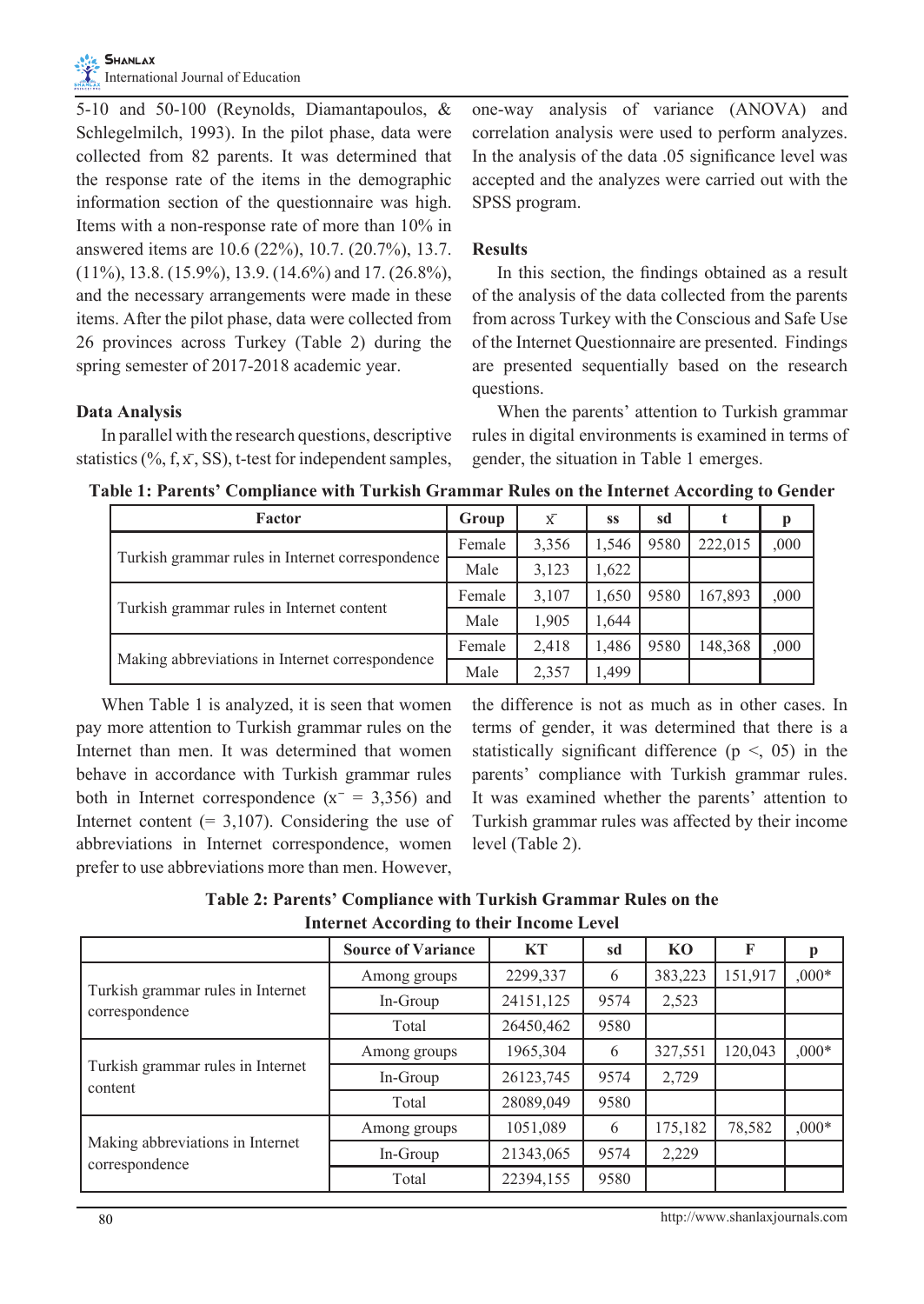5-10 and 50-100 (Reynolds, Diamantapoulos, & Schlegelmilch, 1993). In the pilot phase, data were collected from 82 parents. It was determined that the response rate of the items in the demographic information section of the questionnaire was high. Items with a non-response rate of more than 10% in answered items are 10.6 (22%), 10.7. (20.7%), 13.7.  $(11\%)$ , 13.8.  $(15.9\%)$ , 13.9.  $(14.6\%)$  and 17.  $(26.8\%)$ , and the necessary arrangements were made in these items. After the pilot phase, data were collected from 26 provinces across Turkey (Table 2) during the spring semester of 2017-2018 academic year.

## **Data Analysis**

In parallel with the research questions, descriptive statistics (%, f,  $\bar{x}$ , SS), t-test for independent samples,

one-way analysis of variance (ANOVA) and correlation analysis were used to perform analyzes. In the analysis of the data .05 significance level was accepted and the analyzes were carried out with the SPSS program.

## **Results**

In this section, the findings obtained as a result of the analysis of the data collected from the parents from across Turkey with the Conscious and Safe Use of the Internet Questionnaire are presented. Findings are presented sequentially based on the research questions.

When the parents' attention to Turkish grammar rules in digital environments is examined in terms of gender, the situation in Table 1 emerges.

**Table 1: Parents' Compliance with Turkish Grammar Rules on the Internet According to Gender**

| Factor                                           | Group  | $\bar{X}$ | SS    | sd   |         |      |
|--------------------------------------------------|--------|-----------|-------|------|---------|------|
|                                                  | Female | 3,356     | 1,546 | 9580 | 222,015 | ,000 |
| Turkish grammar rules in Internet correspondence | Male   | 3,123     | 1.622 |      |         |      |
|                                                  | Female | 3,107     | 1,650 | 9580 | 167,893 | .000 |
| Turkish grammar rules in Internet content        | Male   | 1,905     | 1.644 |      |         |      |
|                                                  | Female | 2,418     | 1,486 | 9580 | 148,368 | ,000 |
| Making abbreviations in Internet correspondence  | Male   | 2,357     | 1.499 |      |         |      |

When Table 1 is analyzed, it is seen that women pay more attention to Turkish grammar rules on the Internet than men. It was determined that women behave in accordance with Turkish grammar rules both in Internet correspondence  $(x = 3,356)$  and Internet content  $(= 3, 107)$ . Considering the use of abbreviations in Internet correspondence, women prefer to use abbreviations more than men. However,

the difference is not as much as in other cases. In terms of gender, it was determined that there is a statistically significant difference ( $p \leq 0.05$ ) in the parents' compliance with Turkish grammar rules. It was examined whether the parents' attention to Turkish grammar rules was affected by their income level (Table 2).

**Table 2: Parents' Compliance with Turkish Grammar Rules on the Internet According to their Income Level**

|                                                     | <b>Source of Variance</b> | <b>KT</b> | sd   | K <sub>0</sub> | F       | p       |
|-----------------------------------------------------|---------------------------|-----------|------|----------------|---------|---------|
|                                                     | Among groups              | 2299,337  | 6    | 383,223        | 151,917 | $.000*$ |
| Turkish grammar rules in Internet<br>correspondence | In-Group                  | 24151,125 | 9574 | 2,523          |         |         |
|                                                     | Total                     | 26450,462 | 9580 |                |         |         |
|                                                     | Among groups              | 1965,304  | 6    | 327,551        | 120,043 | $000*$  |
| Turkish grammar rules in Internet<br>content        | In-Group                  | 26123,745 | 9574 | 2,729          |         |         |
|                                                     | Total                     | 28089,049 | 9580 |                |         |         |
|                                                     | Among groups              | 1051,089  | 6    | 175,182        | 78,582  | $.000*$ |
| Making abbreviations in Internet<br>correspondence  | In-Group                  | 21343,065 | 9574 | 2,229          |         |         |
|                                                     | Total                     | 22394,155 | 9580 |                |         |         |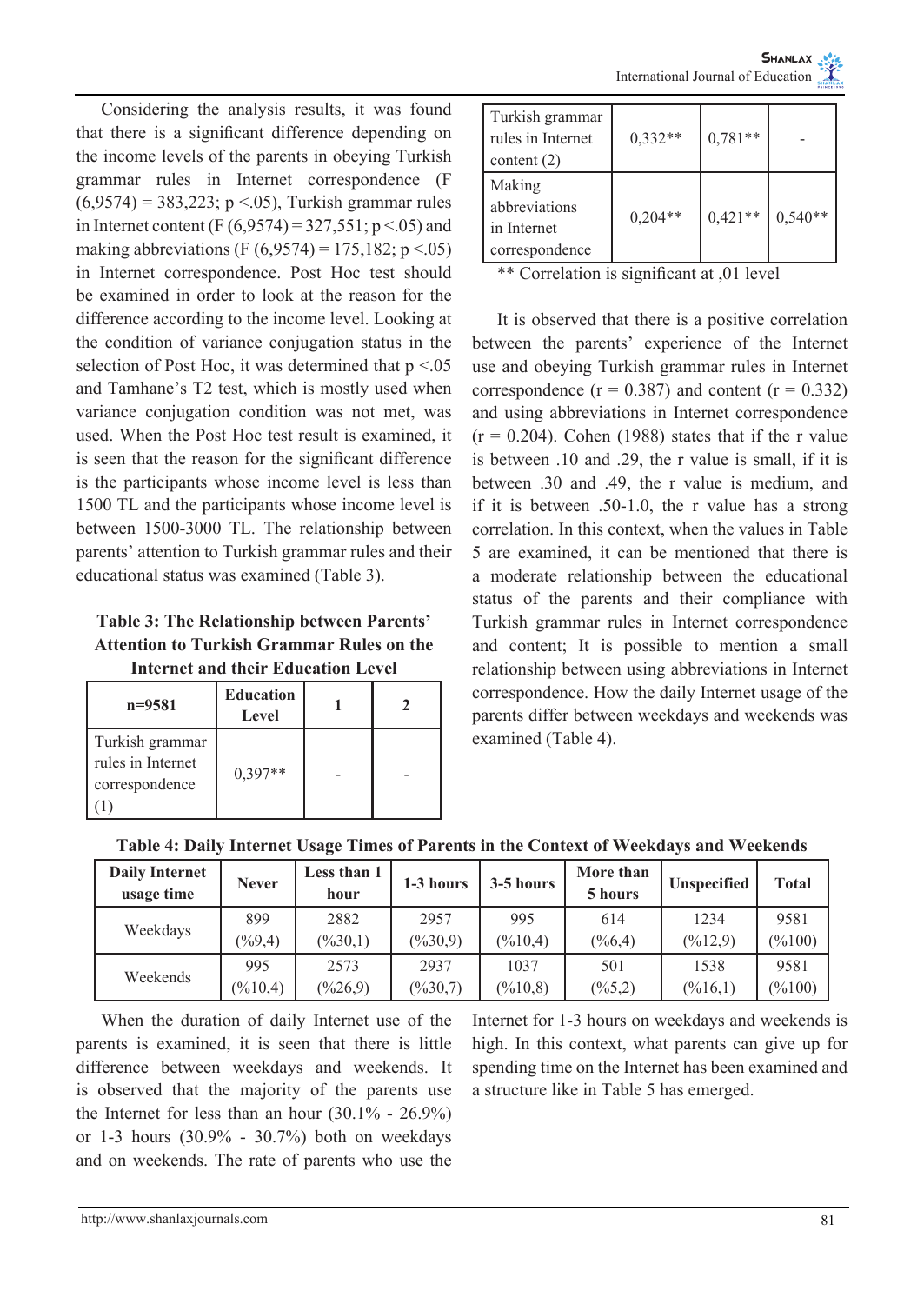Considering the analysis results, it was found that there is a significant difference depending on the income levels of the parents in obeying Turkish grammar rules in Internet correspondence (F  $(6,9574) = 383,223$ ; p <.05), Turkish grammar rules in Internet content (F  $(6,9574) = 327,551$ ; p <.05) and making abbreviations (F  $(6,9574) = 175,182$ ; p <.05) in Internet correspondence. Post Hoc test should be examined in order to look at the reason for the difference according to the income level. Looking at the condition of variance conjugation status in the selection of Post Hoc, it was determined that  $p < 0.05$ and Tamhane's T2 test, which is mostly used when variance conjugation condition was not met, was used. When the Post Hoc test result is examined, it is seen that the reason for the significant difference is the participants whose income level is less than 1500 TL and the participants whose income level is between 1500-3000 TL. The relationship between parents' attention to Turkish grammar rules and their educational status was examined (Table 3).

**Table 3: The Relationship between Parents' Attention to Turkish Grammar Rules on the Internet and their Education Level**

| $n = 9581$                                             | <b>Education</b><br>Level |  |
|--------------------------------------------------------|---------------------------|--|
| Turkish grammar<br>rules in Internet<br>correspondence | $0.397**$                 |  |

| Turkish grammar<br>rules in Internet<br>content $(2)$    | $0,332**$ | $0,781**$ |           |
|----------------------------------------------------------|-----------|-----------|-----------|
| Making<br>abbreviations<br>in Internet<br>correspondence | $0,204**$ | $0,421**$ | $0,540**$ |

\*\* Correlation is significant at ,01 level

It is observed that there is a positive correlation between the parents' experience of the Internet use and obeying Turkish grammar rules in Internet correspondence  $(r = 0.387)$  and content  $(r = 0.332)$ and using abbreviations in Internet correspondence  $(r = 0.204)$ . Cohen (1988) states that if the r value is between .10 and .29, the r value is small, if it is between .30 and .49, the r value is medium, and if it is between .50-1.0, the r value has a strong correlation. In this context, when the values in Table 5 are examined, it can be mentioned that there is a moderate relationship between the educational status of the parents and their compliance with Turkish grammar rules in Internet correspondence and content; It is possible to mention a small relationship between using abbreviations in Internet correspondence. How the daily Internet usage of the parents differ between weekdays and weekends was examined (Table 4).

|  | Table 4: Daily Internet Usage Times of Parents in the Context of Weekdays and Weekends |  |  |
|--|----------------------------------------------------------------------------------------|--|--|
|  |                                                                                        |  |  |
|  |                                                                                        |  |  |

| <b>Daily Internet</b><br>usage time | <b>Never</b>        | Less than 1<br>hour | 1-3 hours           | 3-5 hours           | More than<br>5 hours | <b>Unspecified</b>  | <b>Total</b>       |
|-------------------------------------|---------------------|---------------------|---------------------|---------------------|----------------------|---------------------|--------------------|
| Weekdays                            | 899                 | 2882                | 2957                | 995                 | 614                  | 1234                | 9581               |
|                                     | $(\frac{9}{9}.4)$   | $(\frac{9}{6}30,1)$ | $(\frac{9}{6}30.9)$ | $(\frac{9}{6}10,4)$ | $(\frac{66.4}{6})$   | $(\frac{9}{6}12.9)$ | $(\frac{9}{6}100)$ |
| Weekends                            | 995                 | 2573                | 2937                | 1037                | 501                  | 1538                | 9581               |
|                                     | $(\frac{9}{6}10,4)$ | $(\frac{9}{626.9})$ | $(\frac{9}{6}30.7)$ | $(\frac{9}{6}10.8)$ | $(\frac{9}{6}5.2)$   | $(\frac{9}{6}16,1)$ | $(\frac{9}{6}100)$ |

When the duration of daily Internet use of the parents is examined, it is seen that there is little difference between weekdays and weekends. It is observed that the majority of the parents use the Internet for less than an hour  $(30.1\% - 26.9\%)$ or 1-3 hours (30.9% - 30.7%) both on weekdays and on weekends. The rate of parents who use the

Internet for 1-3 hours on weekdays and weekends is high. In this context, what parents can give up for spending time on the Internet has been examined and a structure like in Table 5 has emerged.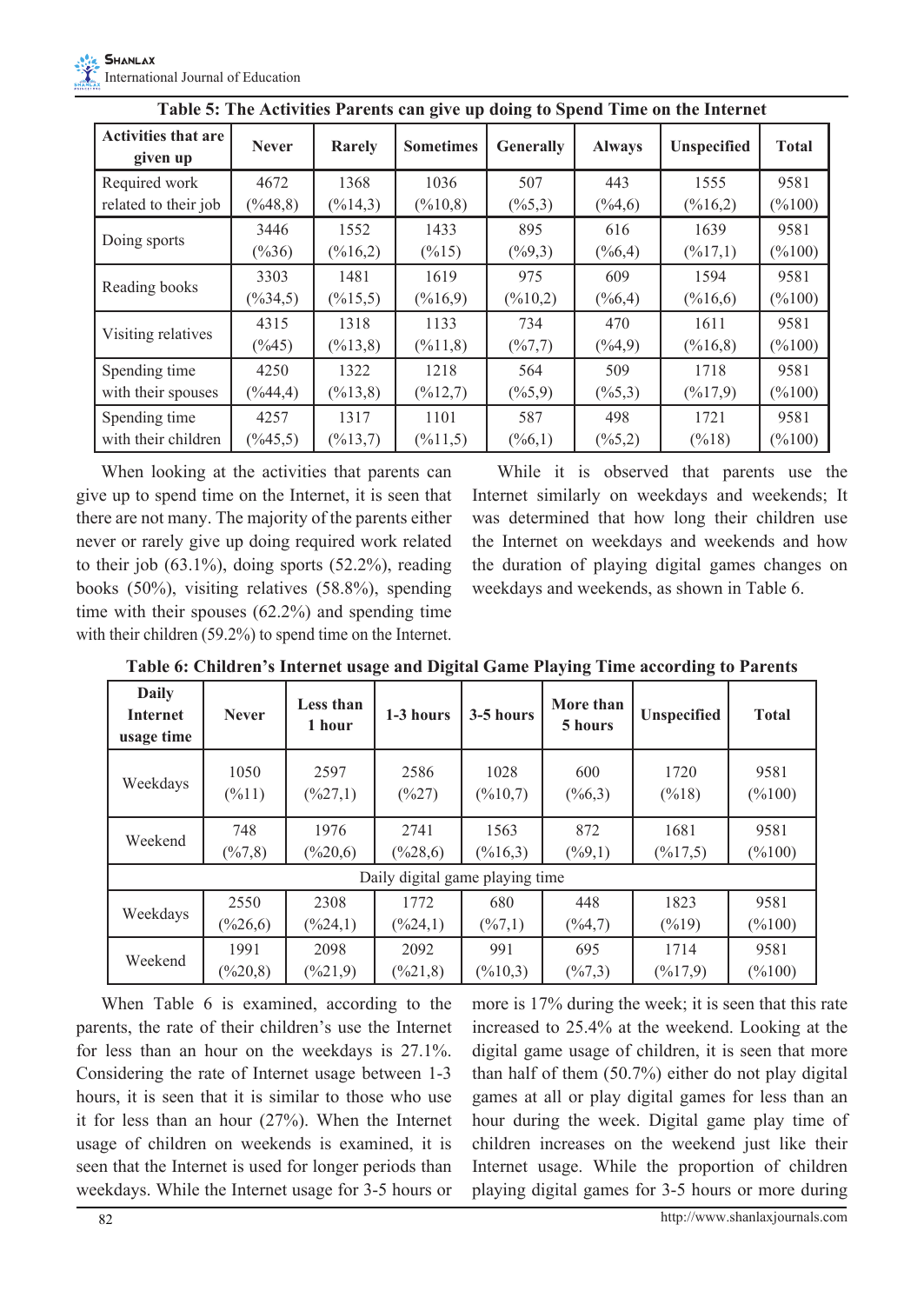| <b>Activities that are</b><br>given up | <b>Never</b>         | Rarely               | <b>Sometimes</b>     | <b>Generally</b>    | <b>Always</b>       | <b>Unspecified</b>   | <b>Total</b>       |
|----------------------------------------|----------------------|----------------------|----------------------|---------------------|---------------------|----------------------|--------------------|
| Required work                          | 4672                 | 1368                 | 1036                 | 507                 | 443                 | 1555                 | 9581               |
| related to their job                   | $(\frac{9}{48,8})$   | $(\frac{6}{14}, 3)$  | $(\frac{9}{6}10, 8)$ | $(\frac{9}{6}5,3)$  | $(\frac{9}{64,6})$  | $(\frac{9}{6}16,2)$  | $(\frac{9}{6}100)$ |
| Doing sports                           | 3446                 | 1552                 | 1433                 | 895                 | 616                 | 1639                 | 9581               |
|                                        | $(\frac{9}{636})$    | $(\frac{6}{16}, 2)$  | $(\frac{9}{6}15)$    | $(\frac{9}{9}, 3)$  | $(\frac{9}{6}, 4)$  | $(\frac{9}{6}17,1)$  | $(\frac{9}{6}100)$ |
|                                        | 3303                 | 1481                 | 1619                 | 975                 | 609                 | 1594                 | 9581               |
| Reading books                          | $(\frac{9}{6}34, 5)$ | $(\frac{9}{6}15, 5)$ | $(\frac{9}{6}16, 9)$ | $(\frac{9}{6}10,2)$ | $(\frac{9}{6}, 4)$  | $(\frac{6}{16}, 6)$  | $(\frac{9}{6}100)$ |
| Visiting relatives                     | 4315                 | 1318                 | 1133                 | 734                 | 470                 | 1611                 | 9581               |
|                                        | $(\frac{9}{6}45)$    | $(\frac{9}{6}13,8)$  | $(\frac{9}{6}11,8)$  | $(\frac{9}{6}7,7)$  | $(\frac{9}{64}, 9)$ | $(\frac{9}{6}16, 8)$ | $(\frac{9}{6}100)$ |
| Spending time                          | 4250                 | 1322                 | 1218                 | 564                 | 509                 | 1718                 | 9581               |
| with their spouses                     | $(\frac{9}{6}44, 4)$ | $(\frac{9}{6}13,8)$  | $(\frac{9}{6}12,7)$  | $(\frac{6}{5}, 9)$  | $(\frac{9}{6}5,3)$  | $(\frac{9}{17}, 9)$  | $(\frac{9}{6}100)$ |
| Spending time                          | 4257                 | 1317                 | 1101                 | 587                 | 498                 | 1721                 | 9581               |
| with their children                    | $(\frac{9}{6}45, 5)$ | $(\frac{9}{6}13,7)$  | $(\frac{9}{6}11,5)$  | $(\frac{9}{6}, 1)$  | $(\frac{9}{6}5,2)$  | $(\frac{9}{6}18)$    | $(\frac{9}{6}100)$ |

**Table 5: The Activities Parents can give up doing to Spend Time on the Internet**

When looking at the activities that parents can give up to spend time on the Internet, it is seen that there are not many. The majority of the parents either never or rarely give up doing required work related to their job  $(63.1\%)$ , doing sports  $(52.2\%)$ , reading books (50%), visiting relatives (58.8%), spending time with their spouses (62.2%) and spending time with their children (59.2%) to spend time on the Internet.

While it is observed that parents use the Internet similarly on weekdays and weekends; It was determined that how long their children use the Internet on weekdays and weekends and how the duration of playing digital games changes on weekdays and weekends, as shown in Table 6.

| <b>Daily</b><br><b>Internet</b><br>usage time | <b>Never</b>        | Less than<br>1 hour   | 1-3 hours                       | 3-5 hours            | More than<br>5 hours | <b>Unspecified</b>  | <b>Total</b>       |
|-----------------------------------------------|---------------------|-----------------------|---------------------------------|----------------------|----------------------|---------------------|--------------------|
| Weekdays                                      | 1050                | 2597                  | 2586                            | 1028                 | 600                  | 1720                | 9581               |
|                                               | $(\frac{9}{6}11)$   | $(\frac{627.1}{6})$   | $(\frac{9}{627})$               | $(\frac{9}{6}10.7)$  | $(\frac{6}{6}, 3)$   | $(\frac{9}{6}18)$   | $(\frac{9}{6}100)$ |
| Weekend                                       | 748                 | 1976                  | 2741                            | 1563                 | 872                  | 1681                | 9581               |
|                                               | $(\frac{9}{6}7, 8)$ | $(\frac{6}{20,6})$    | $(\frac{9}{628,6})$             | $(\frac{9}{6}16,3)$  | $(\frac{9}{9}, 1)$   | $(\frac{9}{6}17,5)$ | $(\frac{6}{100})$  |
|                                               |                     |                       | Daily digital game playing time |                      |                      |                     |                    |
| Weekdays                                      | 2550                | 2308                  | 1772                            | 680                  | 448                  | 1823                | 9581               |
|                                               | $(\frac{9}{626,6})$ | $(\frac{624}{1})$     | $(\frac{9}{624},1)$             | $(\frac{6}{7}, 1)$   | $(\frac{9}{6}4, 7)$  | $(\frac{9}{6}19)$   | $(\frac{6}{100})$  |
| Weekend                                       | 1991                | 2098                  | 2092                            | 991                  | 695                  | 1714                | 9581               |
|                                               | $(\frac{9}{620,8})$ | $(\frac{9}{621}$ , 9) | $(\frac{6}{21}, 8)$             | $(\frac{9}{6}10, 3)$ | $(\frac{6}{7}, 3)$   | $(\frac{9}{6}17.9)$ | $(\frac{9}{6}100)$ |

**Table 6: Children's Internet usage and Digital Game Playing Time according to Parents**

When Table 6 is examined, according to the parents, the rate of their children's use the Internet for less than an hour on the weekdays is 27.1%. Considering the rate of Internet usage between 1-3 hours, it is seen that it is similar to those who use it for less than an hour (27%). When the Internet usage of children on weekends is examined, it is seen that the Internet is used for longer periods than weekdays. While the Internet usage for 3-5 hours or

more is 17% during the week; it is seen that this rate increased to 25.4% at the weekend. Looking at the digital game usage of children, it is seen that more than half of them (50.7%) either do not play digital games at all or play digital games for less than an hour during the week. Digital game play time of children increases on the weekend just like their Internet usage. While the proportion of children playing digital games for 3-5 hours or more during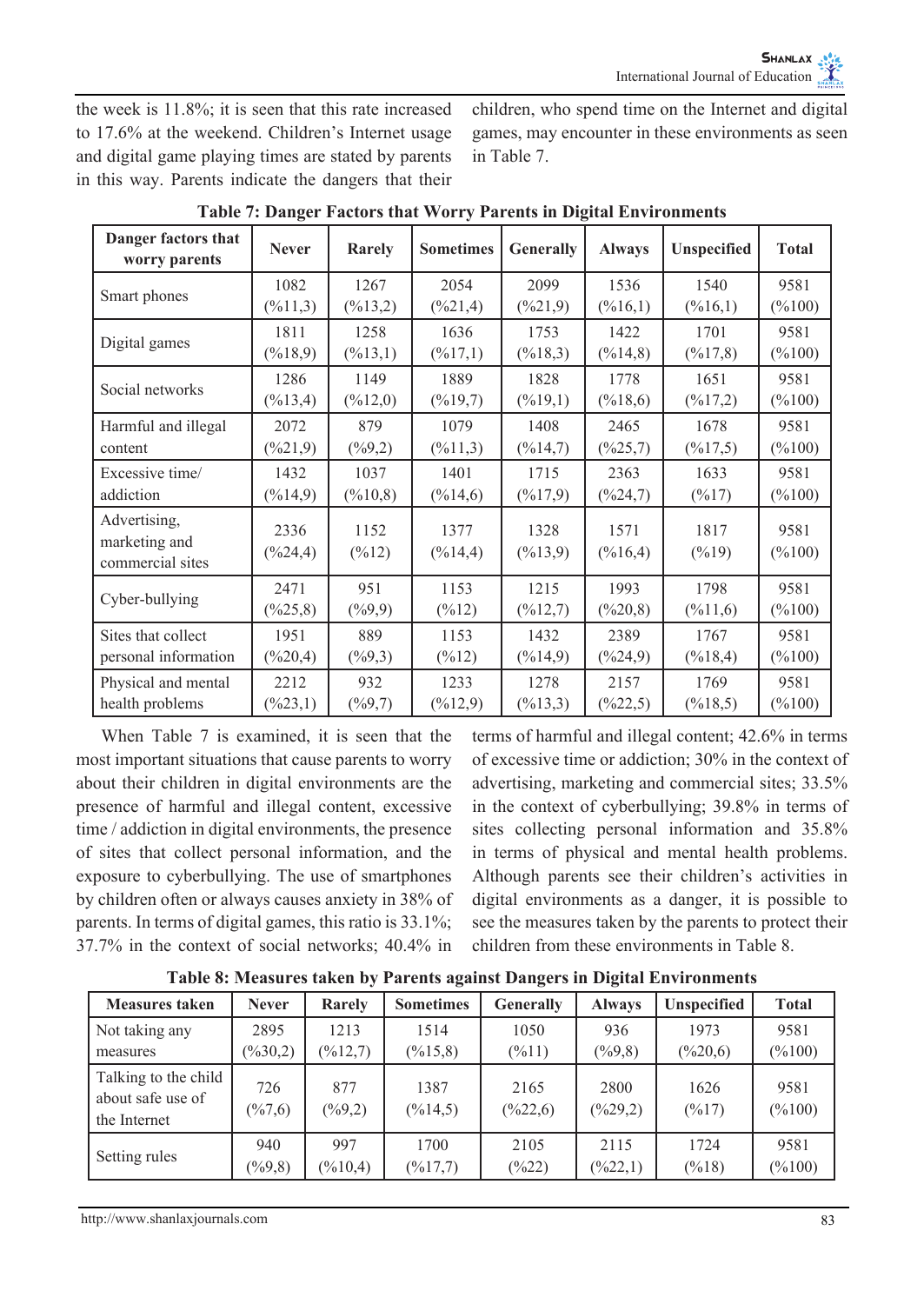the week is 11.8%; it is seen that this rate increased to 17.6% at the weekend. Children's Internet usage and digital game playing times are stated by parents in this way. Parents indicate the dangers that their children, who spend time on the Internet and digital games, may encounter in these environments as seen in Table 7.

| Danger factors that<br>worry parents | <b>Never</b>            | Rarely               | <b>Sometimes</b>        | <b>Generally</b>        | <b>Always</b>        | Unspecified         | <b>Total</b>       |
|--------------------------------------|-------------------------|----------------------|-------------------------|-------------------------|----------------------|---------------------|--------------------|
|                                      | 1082                    | 1267                 | 2054                    | 2099                    | 1536                 | 1540                | 9581               |
| Smart phones                         | $(\frac{9}{1}, 3)$      | $(\frac{9}{6}13,2)$  | $(\frac{621,4}{621,4})$ | $(\frac{621,9}{621,9})$ | $(\frac{9}{6}16,1)$  | $(\frac{9}{6}16,1)$ | $(\frac{6}{100})$  |
|                                      | 1811                    | 1258                 | 1636                    | 1753                    | 1422                 | 1701                | 9581               |
| Digital games                        | $(\frac{9}{18,9})$      | $(\frac{9}{6}13,1)$  | $(\frac{9}{6}17,1)$     | $(\frac{9}{6}18,3)$     | $(\frac{9}{14,8})$   | $(\frac{9}{6}17,8)$ | $(\frac{9}{6}100)$ |
| Social networks                      | 1286                    | 1149                 | 1889                    | 1828                    | 1778                 | 1651                | 9581               |
|                                      | $(\frac{9}{6}13, 4)$    | $(\frac{9}{12,0})$   | $(\frac{6}{19}, 7)$     | $(\frac{9}{6}19,1)$     | $(\frac{9}{6}18,6)$  | $(\frac{9}{6}17,2)$ | $(\frac{9}{6}100)$ |
| Harmful and illegal                  | 2072                    | 879                  | 1079                    | 1408                    | 2465                 | 1678                | 9581               |
| content                              | $(\frac{621,9}{621,9})$ | $(\frac{6}{9}, 2)$   | $(\frac{9}{6}11,3)$     | $(\frac{9}{6}14,7)$     | $(\frac{625,7}{6})$  | $(\frac{9}{6}17,5)$ | $(\frac{9}{6}100)$ |
| Excessive time/                      | 1432                    | 1037                 | 1401                    | 1715                    | 2363                 | 1633                | 9581               |
| addiction                            | $(\frac{9}{6}14, 9)$    | $(\frac{9}{6}10, 8)$ | $(\frac{9}{6}14, 6)$    | $(\frac{9}{17}, 9)$     | $(\frac{624}{7})$    | $(\frac{6}{17})$    | $(\frac{9}{6}100)$ |
| Advertising,                         | 2336                    | 1152                 | 1377                    | 1328                    | 1571                 | 1817                | 9581               |
| marketing and<br>commercial sites    | $(\frac{6}{24}, 4)$     | $(\frac{6}{12})$     | $(\frac{9}{6}14, 4)$    | $(\frac{9}{6}13, 9)$    | $(\frac{9}{6}16, 4)$ | $(\frac{9}{6}19)$   | $(\frac{9}{6}100)$ |
| Cyber-bullying                       | 2471                    | 951                  | 1153                    | 1215                    | 1993                 | 1798                | 9581               |
|                                      | $(\frac{625,8}{6})$     | $(\frac{6}{9}, 9)$   | $(\frac{9}{6}12)$       | $(\frac{9}{6}12,7)$     | $(\frac{9}{620,8})$  | $(\frac{9}{6}11,6)$ | $(\%100)$          |
| Sites that collect                   | 1951                    | 889                  | 1153                    | 1432                    | 2389                 | 1767                | 9581               |
| personal information                 | $(\frac{9}{620,4})$     | $(\frac{9}{9}, 3)$   | $(\frac{9}{6}12)$       | $(\frac{9}{6}14, 9)$    | $(\frac{9}{624,9})$  | $(\frac{6}{18,4})$  | $(\frac{6}{100})$  |
| Physical and mental                  | 2212                    | 932                  | 1233                    | 1278                    | 2157                 | 1769                | 9581               |
| health problems                      | $(\frac{623,1}{2})$     | $(\frac{6}{9}, 7)$   | $(\frac{9}{12}, 9)$     | $(\frac{9}{6}13,3)$     | $(\frac{9}{22}, 5)$  | $(\frac{9}{18,5})$  | $(\%100)$          |

**Table 7: Danger Factors that Worry Parents in Digital Environments**

When Table 7 is examined, it is seen that the most important situations that cause parents to worry about their children in digital environments are the presence of harmful and illegal content, excessive time / addiction in digital environments, the presence of sites that collect personal information, and the exposure to cyberbullying. The use of smartphones by children often or always causes anxiety in 38% of parents. In terms of digital games, this ratio is 33.1%; 37.7% in the context of social networks; 40.4% in terms of harmful and illegal content; 42.6% in terms of excessive time or addiction; 30% in the context of advertising, marketing and commercial sites; 33.5% in the context of cyberbullying; 39.8% in terms of sites collecting personal information and 35.8% in terms of physical and mental health problems. Although parents see their children's activities in digital environments as a danger, it is possible to see the measures taken by the parents to protect their children from these environments in Table 8.

| <b>Measures taken</b>                                     | <b>Never</b>              | Rarely                      | <b>Sometimes</b>            | <b>Generally</b>            | <b>Always</b>              | <b>Unspecified</b>        | <b>Total</b>               |
|-----------------------------------------------------------|---------------------------|-----------------------------|-----------------------------|-----------------------------|----------------------------|---------------------------|----------------------------|
| Not taking any                                            | 2895                      | 1213                        | 1514                        | 1050                        | 936                        | 1973                      | 9581                       |
| measures                                                  | $(\frac{9}{6}30.2)$       | $(\frac{9}{12}, 7)$         | $(\frac{9}{6}15, 8)$        | $(\frac{9}{6}11)$           | $(\frac{9}{9}, 8)$         | $(\frac{6}{20,6})$        | $(\%100)$                  |
| Talking to the child<br>about safe use of<br>the Internet | 726<br>$(\frac{6}{7}, 6)$ | 877<br>$(\frac{9}{9}, 2)$   | 1387<br>$(\frac{9}{6}14.5)$ | 2165<br>$(\frac{9}{622,6})$ | 2800<br>$(\frac{9}{29})$   | 1626<br>$(\frac{9}{6}17)$ | 9581<br>$(\%100)$          |
| Setting rules                                             | 940<br>$(\frac{9}{9}, 8)$ | 997<br>$(\frac{9}{6}10, 4)$ | 1700<br>$(\frac{9}{6}17,7)$ | 2105<br>$(\frac{9}{22})$    | 2115<br>$(\frac{9}{22},1)$ | 1724<br>$(\frac{9}{6}18)$ | 9581<br>$(\frac{9}{6}100)$ |

**Table 8: Measures taken by Parents against Dangers in Digital Environments**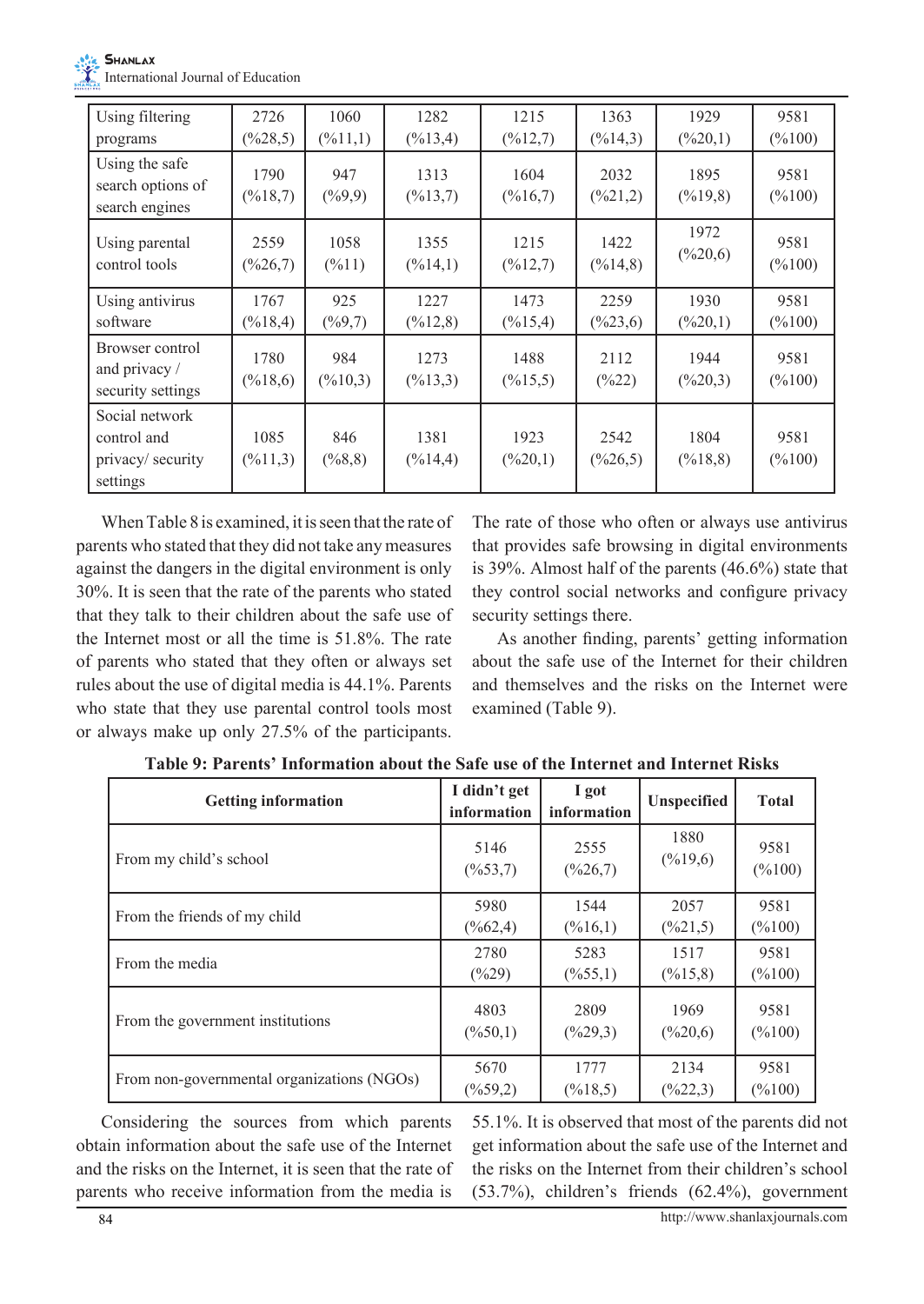

| Using filtering                                               | 2726                        | 1060                       | 1282                         | 1215                         | 1363                        | 1929                         | 9581                       |
|---------------------------------------------------------------|-----------------------------|----------------------------|------------------------------|------------------------------|-----------------------------|------------------------------|----------------------------|
| programs                                                      | $(\frac{9}{28}, 5)$         | $(\frac{9}{6}11,1)$        | $(\frac{9}{6}13, 4)$         | $(\frac{9}{12}, 7)$          | $(\frac{9}{6}14,3)$         | $(\frac{620,1}{2})$          | $(\frac{6}{100})$          |
| Using the safe<br>search options of<br>search engines         | 1790<br>$(\frac{6}{18}, 7)$ | 947<br>$(\frac{9}{9}, 9)$  | 1313<br>$(\frac{9}{13}, 7)$  | 1604<br>$(\frac{9}{6}16,7)$  | 2032<br>$(\frac{621,2}{2})$ | 1895<br>$(\frac{9}{6}19,8)$  | 9581<br>$(\frac{9}{6}100)$ |
| Using parental                                                | 2559                        | 1058                       | 1355                         | 1215                         | 1422                        | 1972                         | 9581                       |
| control tools                                                 | $(\frac{626}{7})$           | $(\frac{9}{6}11)$          | $(\frac{9}{6}14,1)$          | $(\frac{6}{12}, 7)$          | $(\frac{9}{6}14, 8)$        | $(\frac{6}{20,6})$           | $(\frac{9}{6}100)$         |
| Using antivirus                                               | 1767                        | 925                        | 1227                         | 1473                         | 2259                        | 1930                         | 9581                       |
| software                                                      | $(\frac{9}{6}18, 4)$        | $(\frac{6}{9}, 7)$         | $(\frac{9}{6}12,8)$          | $(\frac{9}{15}, 4)$          | $(\frac{623,6}{6})$         | $(\frac{620,1}{2})$          | $(\frac{9}{6}100)$         |
| Browser control<br>and privacy /<br>security settings         | 1780<br>$(\frac{6}{18,6})$  | 984<br>$(\frac{6}{10}, 3)$ | 1273<br>$(\frac{6}{13}, 3)$  | 1488<br>$(\frac{9}{6}15, 5)$ | 2112<br>$(\frac{9}{622})$   | 1944<br>$(\frac{620,3}{3})$  | 9581<br>$(\frac{9}{6}100)$ |
| Social network<br>control and<br>privacy/security<br>settings | 1085<br>$(\frac{9}{6}11,3)$ | 846<br>$(\frac{6}{8}, 8)$  | 1381<br>$(\frac{9}{6}14, 4)$ | 1923<br>$(\frac{620,1}{2})$  | 2542<br>$(\frac{626}{5})$   | 1804<br>$(\frac{9}{6}18, 8)$ | 9581<br>$(\frac{9}{6}100)$ |

When Table 8 is examined, it is seen that the rate of parents who stated that they did not take any measures against the dangers in the digital environment is only 30%. It is seen that the rate of the parents who stated that they talk to their children about the safe use of the Internet most or all the time is 51.8%. The rate of parents who stated that they often or always set rules about the use of digital media is 44.1%. Parents who state that they use parental control tools most or always make up only 27.5% of the participants.

The rate of those who often or always use antivirus that provides safe browsing in digital environments is 39%. Almost half of the parents (46.6%) state that they control social networks and configure privacy security settings there.

As another finding, parents' getting information about the safe use of the Internet for their children and themselves and the risks on the Internet were examined (Table 9).

| <b>Getting information</b>                 | I didn't get<br>information | I got<br>information | <b>Unspecified</b>   | <b>Total</b>       |
|--------------------------------------------|-----------------------------|----------------------|----------------------|--------------------|
| From my child's school                     | 5146                        | 2555                 | 1880                 | 9581               |
|                                            | $(\frac{9}{6}53,7)$         | $(\frac{9}{626}, 7)$ | $(\frac{9}{6}19,6)$  | $(\frac{9}{6}100)$ |
| From the friends of my child               | 5980                        | 1544                 | 2057                 | 9581               |
|                                            | $(\frac{9}{662,4})$         | $(\frac{6}{16}, 1)$  | $(\frac{9}{621}, 5)$ | $(\frac{9}{6}100)$ |
| From the media                             | 2780                        | 5283                 | 1517                 | 9581               |
|                                            | $(\frac{9}{629})$           | $(\frac{9}{6}55,1)$  | $(\frac{9}{6}15, 8)$ | $(\frac{9}{6}100)$ |
| From the government institutions           | 4803                        | 2809                 | 1969                 | 9581               |
|                                            | $(\frac{6}{50}, 1)$         | $(\frac{9}{629}, 3)$ | $(\frac{9}{6}20,6)$  | $(\frac{9}{6}100)$ |
| From non-governmental organizations (NGOs) | 5670                        | 1777                 | 2134                 | 9581               |
|                                            | $(\frac{9}{6}59,2)$         | $(\frac{9}{6}18, 5)$ | $(\frac{9}{622}, 3)$ | $(\frac{9}{6}100)$ |

**Table 9: Parents' Information about the Safe use of the Internet and Internet Risks**

Considering the sources from which parents obtain information about the safe use of the Internet and the risks on the Internet, it is seen that the rate of parents who receive information from the media is 55.1%. It is observed that most of the parents did not get information about the safe use of the Internet and the risks on the Internet from their children's school (53.7%), children's friends (62.4%), government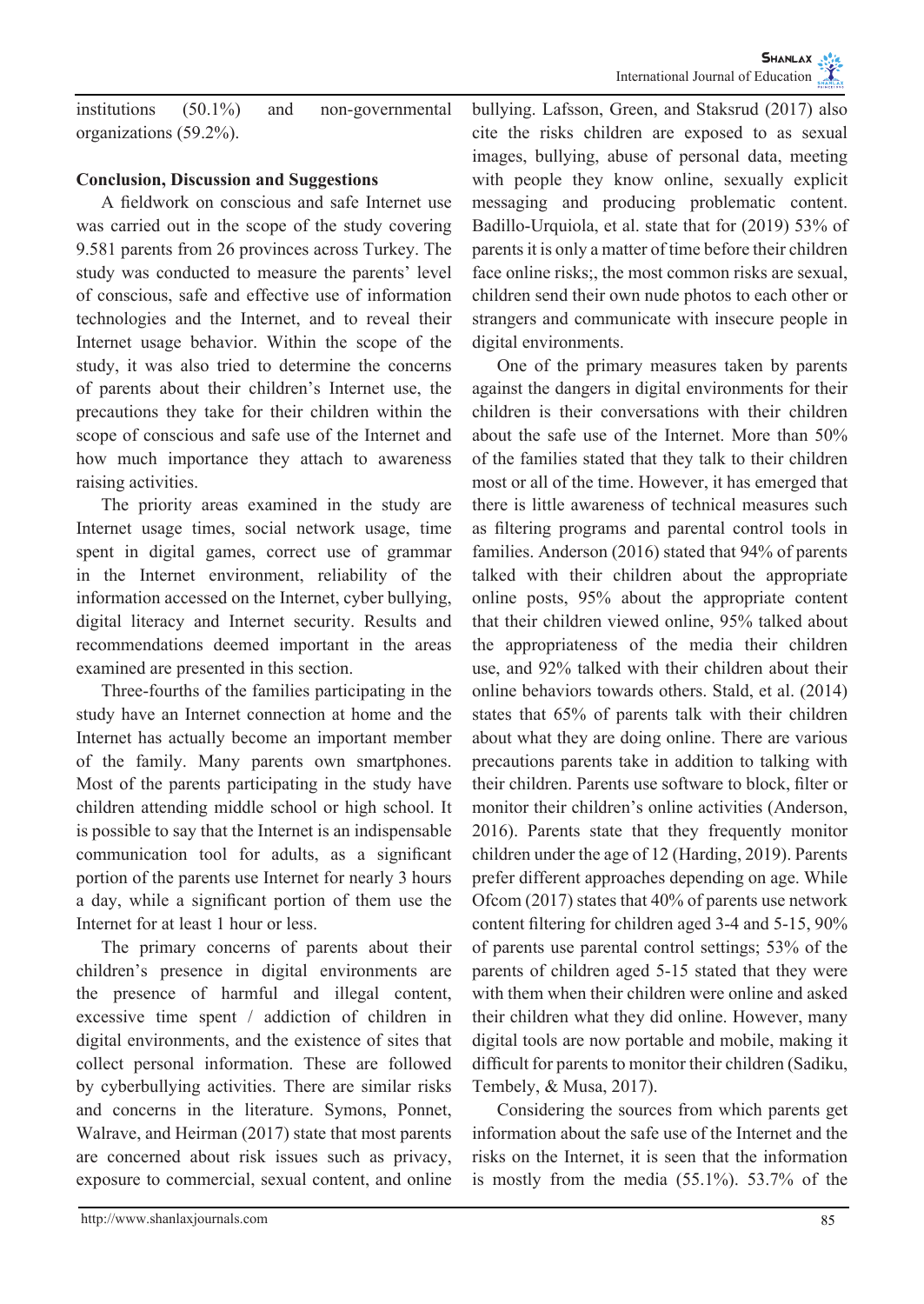institutions (50.1%) and non-governmental organizations (59.2%).

## **Conclusion, Discussion and Suggestions**

A fieldwork on conscious and safe Internet use was carried out in the scope of the study covering 9.581 parents from 26 provinces across Turkey. The study was conducted to measure the parents' level of conscious, safe and effective use of information technologies and the Internet, and to reveal their Internet usage behavior. Within the scope of the study, it was also tried to determine the concerns of parents about their children's Internet use, the precautions they take for their children within the scope of conscious and safe use of the Internet and how much importance they attach to awareness raising activities.

The priority areas examined in the study are Internet usage times, social network usage, time spent in digital games, correct use of grammar in the Internet environment, reliability of the information accessed on the Internet, cyber bullying, digital literacy and Internet security. Results and recommendations deemed important in the areas examined are presented in this section.

Three-fourths of the families participating in the study have an Internet connection at home and the Internet has actually become an important member of the family. Many parents own smartphones. Most of the parents participating in the study have children attending middle school or high school. It is possible to say that the Internet is an indispensable communication tool for adults, as a significant portion of the parents use Internet for nearly 3 hours a day, while a significant portion of them use the Internet for at least 1 hour or less.

The primary concerns of parents about their children's presence in digital environments are the presence of harmful and illegal content, excessive time spent / addiction of children in digital environments, and the existence of sites that collect personal information. These are followed by cyberbullying activities. There are similar risks and concerns in the literature. Symons, Ponnet, Walrave, and Heirman (2017) state that most parents are concerned about risk issues such as privacy, exposure to commercial, sexual content, and online

bullying. Lafsson, Green, and Staksrud (2017) also cite the risks children are exposed to as sexual images, bullying, abuse of personal data, meeting with people they know online, sexually explicit messaging and producing problematic content. Badillo-Urquiola, et al. state that for (2019) 53% of parents it is only a matter of time before their children face online risks;, the most common risks are sexual, children send their own nude photos to each other or strangers and communicate with insecure people in digital environments.

One of the primary measures taken by parents against the dangers in digital environments for their children is their conversations with their children about the safe use of the Internet. More than 50% of the families stated that they talk to their children most or all of the time. However, it has emerged that there is little awareness of technical measures such as filtering programs and parental control tools in families. Anderson (2016) stated that 94% of parents talked with their children about the appropriate online posts, 95% about the appropriate content that their children viewed online, 95% talked about the appropriateness of the media their children use, and 92% talked with their children about their online behaviors towards others. Stald, et al. (2014) states that 65% of parents talk with their children about what they are doing online. There are various precautions parents take in addition to talking with their children. Parents use software to block, filter or monitor their children's online activities (Anderson, 2016). Parents state that they frequently monitor children under the age of 12 (Harding, 2019). Parents prefer different approaches depending on age. While Ofcom (2017) states that 40% of parents use network content filtering for children aged 3-4 and 5-15, 90% of parents use parental control settings; 53% of the parents of children aged 5-15 stated that they were with them when their children were online and asked their children what they did online. However, many digital tools are now portable and mobile, making it difficult for parents to monitor their children (Sadiku, Tembely, & Musa, 2017).

Considering the sources from which parents get information about the safe use of the Internet and the risks on the Internet, it is seen that the information is mostly from the media (55.1%). 53.7% of the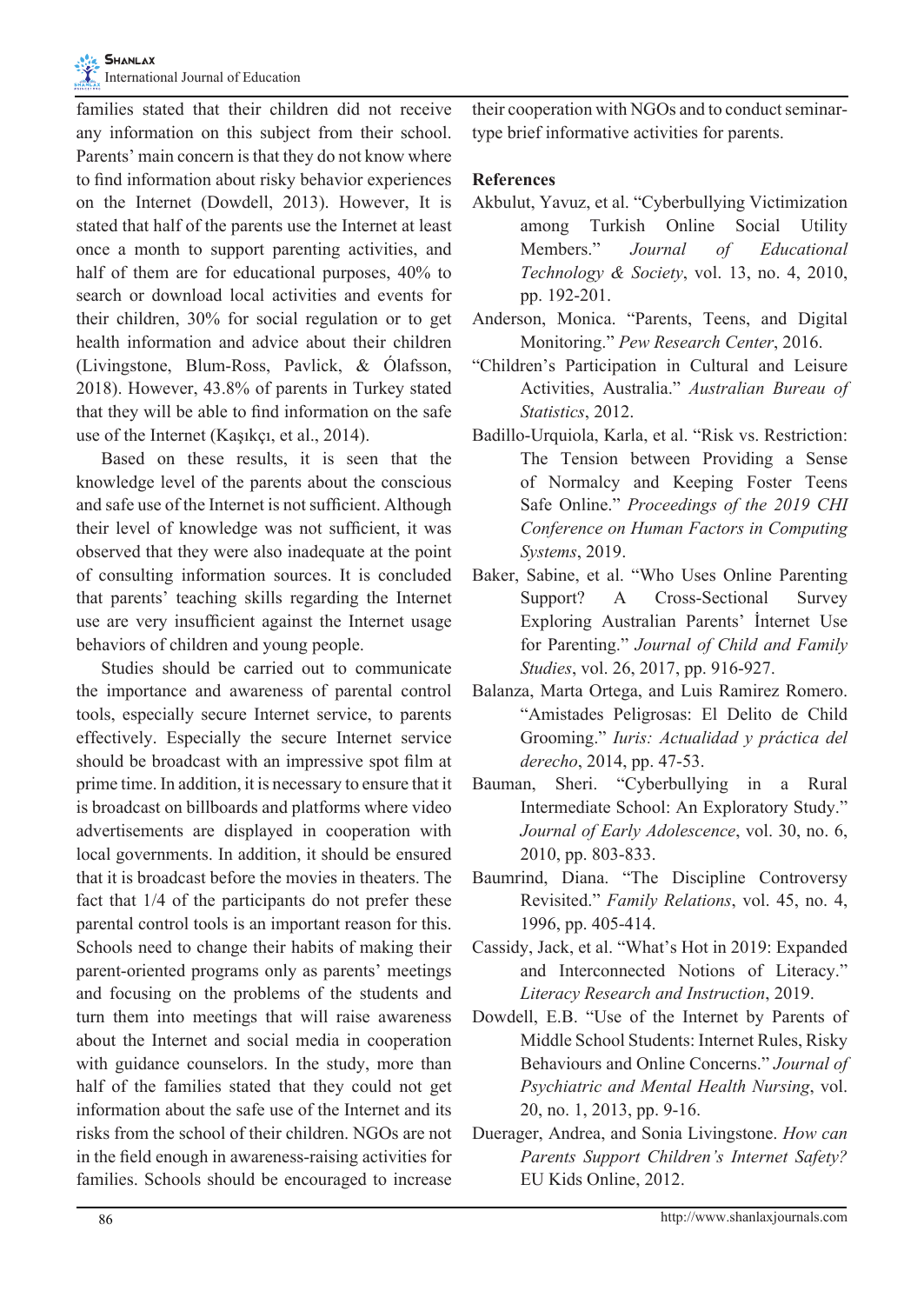families stated that their children did not receive any information on this subject from their school. Parents' main concern is that they do not know where to find information about risky behavior experiences on the Internet (Dowdell, 2013). However, It is stated that half of the parents use the Internet at least once a month to support parenting activities, and half of them are for educational purposes, 40% to search or download local activities and events for their children, 30% for social regulation or to get health information and advice about their children (Livingstone, Blum-Ross, Pavlick, & Ólafsson, 2018). However, 43.8% of parents in Turkey stated that they will be able to find information on the safe use of the Internet (Kaşıkçı, et al., 2014).

Based on these results, it is seen that the knowledge level of the parents about the conscious and safe use of the Internet is not sufficient. Although their level of knowledge was not sufficient, it was observed that they were also inadequate at the point of consulting information sources. It is concluded that parents' teaching skills regarding the Internet use are very insufficient against the Internet usage behaviors of children and young people.

Studies should be carried out to communicate the importance and awareness of parental control tools, especially secure Internet service, to parents effectively. Especially the secure Internet service should be broadcast with an impressive spot film at prime time. In addition, it is necessary to ensure that it is broadcast on billboards and platforms where video advertisements are displayed in cooperation with local governments. In addition, it should be ensured that it is broadcast before the movies in theaters. The fact that 1/4 of the participants do not prefer these parental control tools is an important reason for this. Schools need to change their habits of making their parent-oriented programs only as parents' meetings and focusing on the problems of the students and turn them into meetings that will raise awareness about the Internet and social media in cooperation with guidance counselors. In the study, more than half of the families stated that they could not get information about the safe use of the Internet and its risks from the school of their children. NGOs are not in the field enough in awareness-raising activities for families. Schools should be encouraged to increase their cooperation with NGOs and to conduct seminartype brief informative activities for parents.

## **References**

- Akbulut, Yavuz, et al. "Cyberbullying Victimization among Turkish Online Social Utility Members." *Journal of Educational Technology & Society*, vol. 13, no. 4, 2010, pp. 192-201.
- Anderson, Monica. "Parents, Teens, and Digital Monitoring." *Pew Research Center*, 2016.
- "Children's Participation in Cultural and Leisure Activities, Australia." *Australian Bureau of Statistics*, 2012.
- Badillo-Urquiola, Karla, et al. "Risk vs. Restriction: The Tension between Providing a Sense of Normalcy and Keeping Foster Teens Safe Online." *Proceedings of the 2019 CHI Conference on Human Factors in Computing Systems*, 2019.
- Baker, Sabine, et al. "Who Uses Online Parenting Support? A Cross-Sectional Survey Exploring Australian Parents' İnternet Use for Parenting." *Journal of Child and Family Studies*, vol. 26, 2017, pp. 916-927.
- Balanza, Marta Ortega, and Luis Ramirez Romero. "Amistades Peligrosas: El Delito de Child Grooming." *Iuris: Actualidad y práctica del derecho*, 2014, pp. 47-53.
- Bauman, Sheri. "Cyberbullying in a Rural Intermediate School: An Exploratory Study." *Journal of Early Adolescence*, vol. 30, no. 6, 2010, pp. 803-833.
- Baumrind, Diana. "The Discipline Controversy Revisited." *Family Relations*, vol. 45, no. 4, 1996, pp. 405-414.
- Cassidy, Jack, et al. "What's Hot in 2019: Expanded and Interconnected Notions of Literacy." *Literacy Research and Instruction*, 2019.
- Dowdell, E.B. "Use of the Internet by Parents of Middle School Students: Internet Rules, Risky Behaviours and Online Concerns." *Journal of Psychiatric and Mental Health Nursing*, vol. 20, no. 1, 2013, pp. 9-16.
- Duerager, Andrea, and Sonia Livingstone. *How can Parents Support Children's Internet Safety?* EU Kids Online, 2012.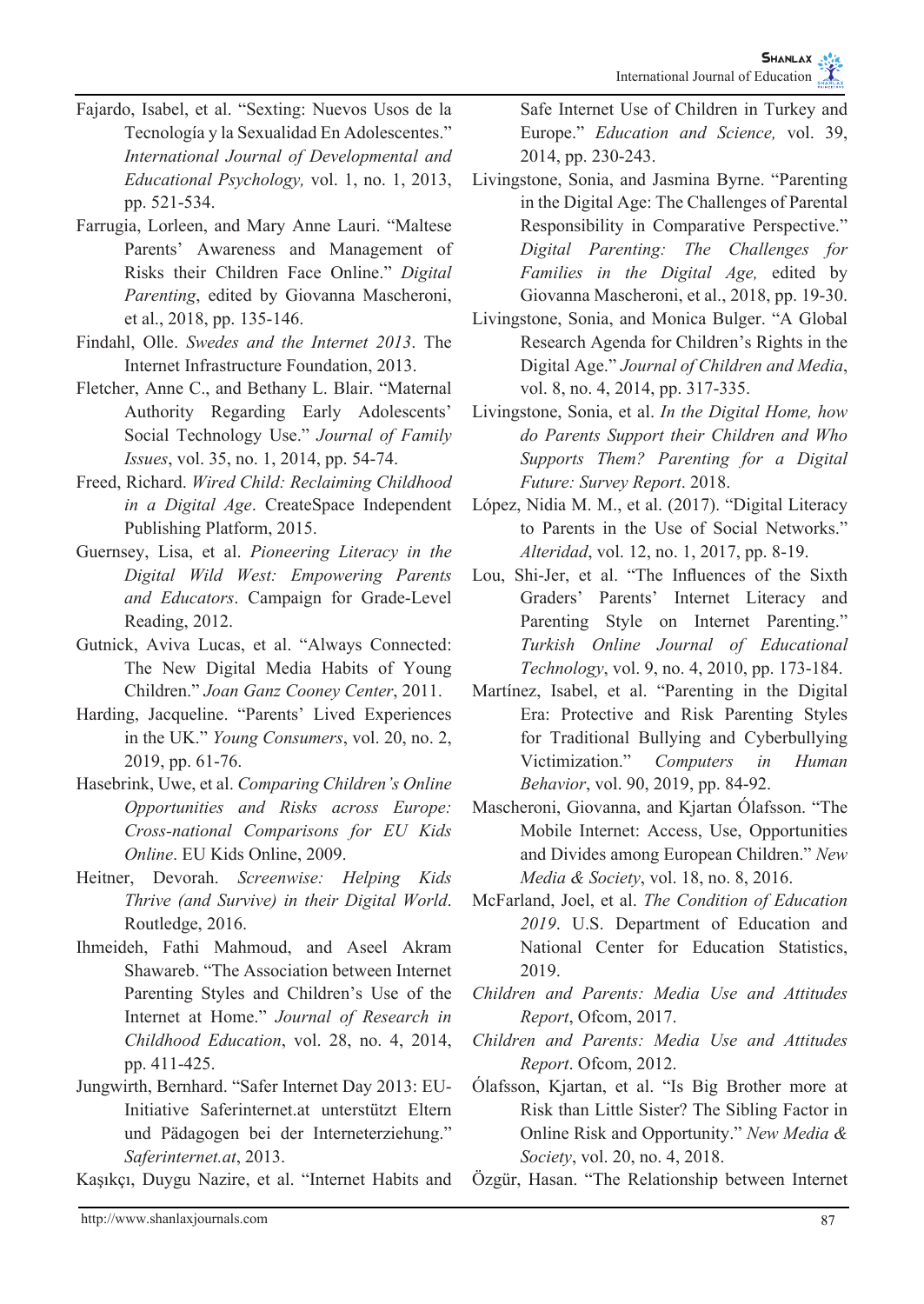- Fajardo, Isabel, et al. "Sexting: Nuevos Usos de la Tecnología y la Sexualidad En Adolescentes." *International Journal of Developmental and Educational Psychology,* vol. 1, no. 1, 2013, pp. 521-534.
- Farrugia, Lorleen, and Mary Anne Lauri. "Maltese Parents' Awareness and Management of Risks their Children Face Online." *Digital Parenting*, edited by Giovanna Mascheroni, et al., 2018, pp. 135-146.
- Findahl, Olle. *Swedes and the Internet 2013*. The Internet Infrastructure Foundation, 2013.
- Fletcher, Anne C., and Bethany L. Blair. "Maternal Authority Regarding Early Adolescents' Social Technology Use." *Journal of Family Issues*, vol. 35, no. 1, 2014, pp. 54-74.
- Freed, Richard. *Wired Child: Reclaiming Childhood in a Digital Age*. CreateSpace Independent Publishing Platform, 2015.
- Guernsey, Lisa, et al. *Pioneering Literacy in the Digital Wild West: Empowering Parents and Educators*. Campaign for Grade-Level Reading, 2012.
- Gutnick, Aviva Lucas, et al. "Always Connected: The New Digital Media Habits of Young Children." *Joan Ganz Cooney Center*, 2011.
- Harding, Jacqueline. "Parents' Lived Experiences in the UK." *Young Consumers*, vol. 20, no. 2, 2019, pp. 61-76.
- Hasebrink, Uwe, et al. *Comparing Children's Online Opportunities and Risks across Europe: Cross-national Comparisons for EU Kids Online*. EU Kids Online, 2009.
- Heitner, Devorah. *Screenwise: Helping Kids Thrive (and Survive) in their Digital World*. Routledge, 2016.
- Ihmeideh, Fathi Mahmoud, and Aseel Akram Shawareb. "The Association between Internet Parenting Styles and Children's Use of the Internet at Home." *Journal of Research in Childhood Education*, vol. 28, no. 4, 2014, pp. 411-425.
- Jungwirth, Bernhard. "Safer Internet Day 2013: EU-Initiative Saferinternet.at unterstützt Eltern und Pädagogen bei der Interneterziehung." *Saferinternet.at*, 2013.

Kaşıkçı, Duygu Nazire, et al. "Internet Habits and

Safe Internet Use of Children in Turkey and Europe." *Education and Science,* vol. 39, 2014, pp. 230-243.

- Livingstone, Sonia, and Jasmina Byrne. "Parenting in the Digital Age: The Challenges of Parental Responsibility in Comparative Perspective." *Digital Parenting: The Challenges for Families in the Digital Age,* edited by Giovanna Mascheroni, et al., 2018, pp. 19-30.
- Livingstone, Sonia, and Monica Bulger. "A Global Research Agenda for Children's Rights in the Digital Age." *Journal of Children and Media*, vol. 8, no. 4, 2014, pp. 317-335.
- Livingstone, Sonia, et al. *In the Digital Home, how do Parents Support their Children and Who Supports Them? Parenting for a Digital Future: Survey Report*. 2018.
- López, Nidia M. M., et al. (2017). "Digital Literacy to Parents in the Use of Social Networks." *Alteridad*, vol. 12, no. 1, 2017, pp. 8-19.
- Lou, Shi-Jer, et al. "The Influences of the Sixth Graders' Parents' Internet Literacy and Parenting Style on Internet Parenting." *Turkish Online Journal of Educational Technology*, vol. 9, no. 4, 2010, pp. 173-184.
- Martínez, Isabel, et al. "Parenting in the Digital Era: Protective and Risk Parenting Styles for Traditional Bullying and Cyberbullying Victimization." *Computers in Human Behavior*, vol. 90, 2019, pp. 84-92.
- Mascheroni, Giovanna, and Kjartan Ólafsson. "The Mobile Internet: Access, Use, Opportunities and Divides among European Children." *New Media & Society*, vol. 18, no. 8, 2016.
- McFarland, Joel, et al. *The Condition of Education 2019*. U.S. Department of Education and National Center for Education Statistics, 2019.
- *Children and Parents: Media Use and Attitudes Report*, Ofcom, 2017.
- *Children and Parents: Media Use and Attitudes Report*. Ofcom, 2012.
- Ólafsson, Kjartan, et al. "Is Big Brother more at Risk than Little Sister? The Sibling Factor in Online Risk and Opportunity." *New Media & Society*, vol. 20, no. 4, 2018.
- Özgür, Hasan. "The Relationship between Internet